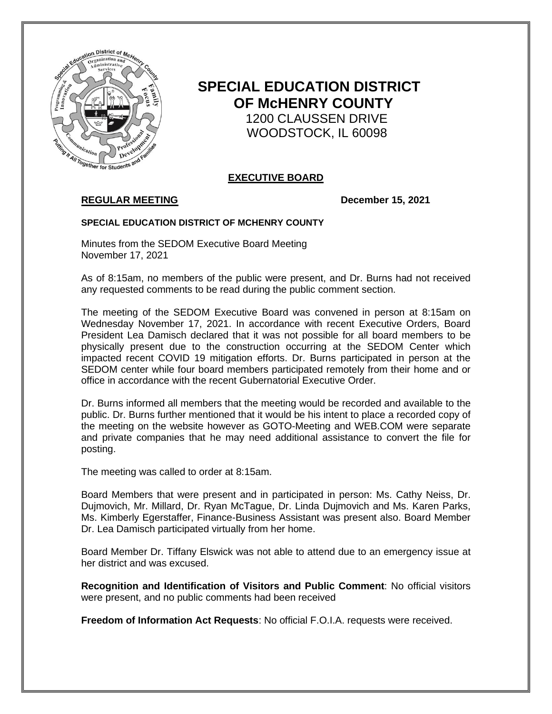

# **SPECIAL EDUCATION DISTRICT OF McHENRY COUNTY** 1200 CLAUSSEN DRIVE WOODSTOCK, IL 60098

# **EXECUTIVE BOARD**

# **REGULAR MEETING December 15, 2021**

### **SPECIAL EDUCATION DISTRICT OF MCHENRY COUNTY**

Minutes from the SEDOM Executive Board Meeting November 17, 2021

As of 8:15am, no members of the public were present, and Dr. Burns had not received any requested comments to be read during the public comment section.

The meeting of the SEDOM Executive Board was convened in person at 8:15am on Wednesday November 17, 2021. In accordance with recent Executive Orders, Board President Lea Damisch declared that it was not possible for all board members to be physically present due to the construction occurring at the SEDOM Center which impacted recent COVID 19 mitigation efforts. Dr. Burns participated in person at the SEDOM center while four board members participated remotely from their home and or office in accordance with the recent Gubernatorial Executive Order.

Dr. Burns informed all members that the meeting would be recorded and available to the public. Dr. Burns further mentioned that it would be his intent to place a recorded copy of the meeting on the website however as GOTO-Meeting and WEB.COM were separate and private companies that he may need additional assistance to convert the file for posting.

The meeting was called to order at 8:15am.

Board Members that were present and in participated in person: Ms. Cathy Neiss, Dr. Dujmovich, Mr. Millard, Dr. Ryan McTague, Dr. Linda Dujmovich and Ms. Karen Parks, Ms. Kimberly Egerstaffer, Finance-Business Assistant was present also. Board Member Dr. Lea Damisch participated virtually from her home.

Board Member Dr. Tiffany Elswick was not able to attend due to an emergency issue at her district and was excused.

**Recognition and Identification of Visitors and Public Comment**: No official visitors were present, and no public comments had been received

**Freedom of Information Act Requests**: No official F.O.I.A. requests were received.